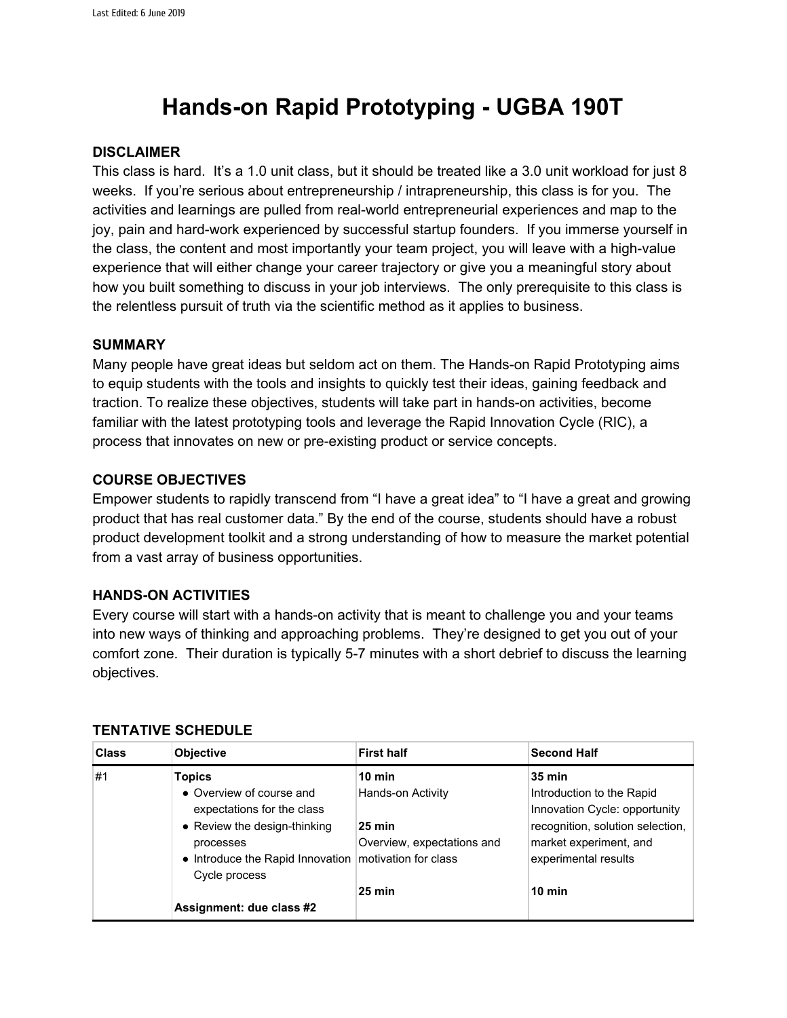# **Hands-on Rapid Prototyping - UGBA 190T**

## **DISCLAIMER**

This class is hard. It's a 1.0 unit class, but it should be treated like a 3.0 unit workload for just 8 weeks. If you're serious about entrepreneurship / intrapreneurship, this class is for you. The activities and learnings are pulled from real-world entrepreneurial experiences and map to the joy, pain and hard-work experienced by successful startup founders. If you immerse yourself in the class, the content and most importantly your team project, you will leave with a high-value experience that will either change your career trajectory or give you a meaningful story about how you built something to discuss in your job interviews. The only prerequisite to this class is the relentless pursuit of truth via the scientific method as it applies to business.

## **SUMMARY**

Many people have great ideas but seldom act on them. The Hands-on Rapid Prototyping aims to equip students with the tools and insights to quickly test their ideas, gaining feedback and traction. To realize these objectives, students will take part in hands-on activities, become familiar with the latest prototyping tools and leverage the Rapid Innovation Cycle (RIC), a process that innovates on new or pre-existing product or service concepts.

## **COURSE OBJECTIVES**

Empower students to rapidly transcend from "I have a great idea" to "I have a great and growing product that has real customer data." By the end of the course, students should have a robust product development toolkit and a strong understanding of how to measure the market potential from a vast array of business opportunities.

#### **HANDS-ON ACTIVITIES**

Every course will start with a hands-on activity that is meant to challenge you and your teams into new ways of thinking and approaching problems. They're designed to get you out of your comfort zone. Their duration is typically 5-7 minutes with a short debrief to discuss the learning objectives.

| <b>Class</b> | <b>Objective</b>                                                                                                                                                                | <b>First half</b>                                                                       | <b>Second Half</b>                                                                                                                                                |
|--------------|---------------------------------------------------------------------------------------------------------------------------------------------------------------------------------|-----------------------------------------------------------------------------------------|-------------------------------------------------------------------------------------------------------------------------------------------------------------------|
| #1           | <b>Topics</b><br>• Overview of course and<br>expectations for the class<br>• Review the design-thinking<br>processes<br>• Introduce the Rapid Innovation   motivation for class | $10 \text{ min}$<br>Hands-on Activity<br>$25 \text{ min}$<br>Overview, expectations and | <b>35 min</b><br>Introduction to the Rapid<br>Innovation Cycle: opportunity<br>recognition, solution selection,<br>market experiment, and<br>experimental results |
|              | Cycle process<br>Assignment: due class #2                                                                                                                                       | $25 \text{ min}$                                                                        | $10 \text{ min}$                                                                                                                                                  |

#### **TENTATIVE SCHEDULE**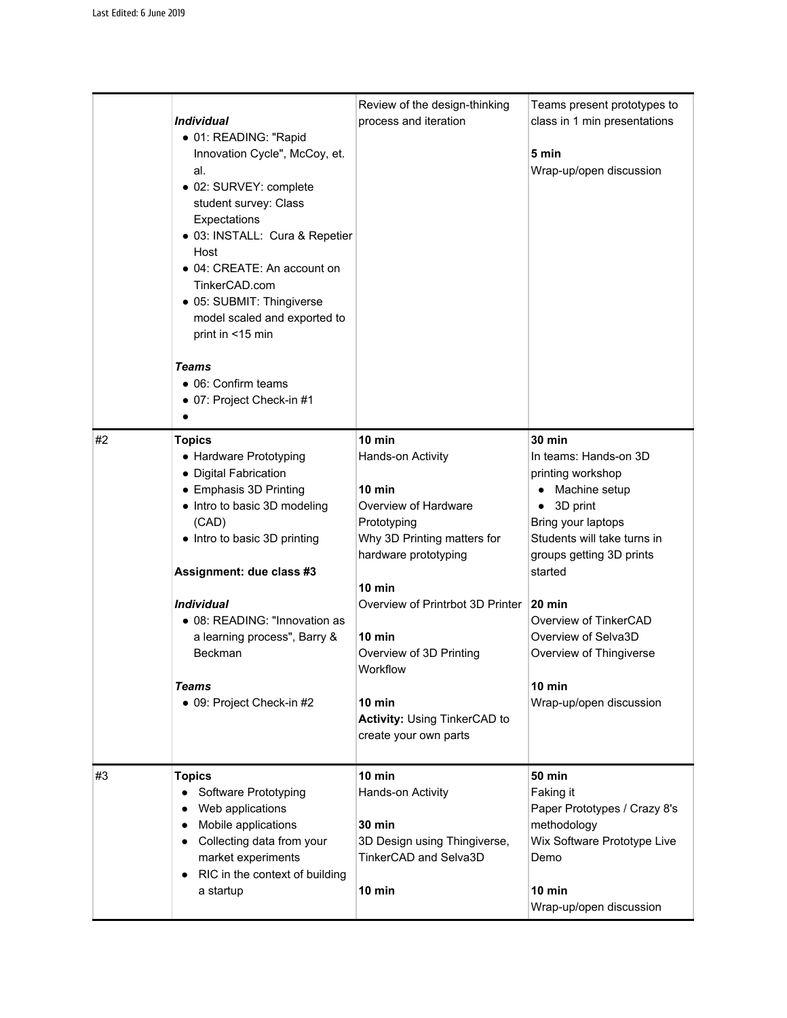|    | <i><b>Individual</b></i><br>• 01: READING: "Rapid<br>Innovation Cycle", McCoy, et.<br>al.<br>• 02: SURVEY: complete<br>student survey: Class<br>Expectations<br>• 03: INSTALL: Cura & Repetier<br>Host<br>• 04: CREATE: An account on<br>TinkerCAD.com<br>• 05: SUBMIT: Thingiverse<br>model scaled and exported to<br>print in <15 min<br>Teams<br>• 06: Confirm teams<br>• 07: Project Check-in #1 | Review of the design-thinking<br>process and iteration                                                                                                                                                                                                                                                                   | Teams present prototypes to<br>class in 1 min presentations<br>5 min<br>Wrap-up/open discussion                                                                                                                                                                                                                                    |
|----|------------------------------------------------------------------------------------------------------------------------------------------------------------------------------------------------------------------------------------------------------------------------------------------------------------------------------------------------------------------------------------------------------|--------------------------------------------------------------------------------------------------------------------------------------------------------------------------------------------------------------------------------------------------------------------------------------------------------------------------|------------------------------------------------------------------------------------------------------------------------------------------------------------------------------------------------------------------------------------------------------------------------------------------------------------------------------------|
| #2 | <b>Topics</b><br>• Hardware Prototyping<br>• Digital Fabrication<br>• Emphasis 3D Printing<br>• Intro to basic 3D modeling<br>(CAD)<br>• Intro to basic 3D printing<br>Assignment: due class #3<br><i><b>Individual</b></i><br>• 08: READING: "Innovation as<br>a learning process", Barry &<br>Beckman<br>Teams<br>• 09: Project Check-in #2                                                        | $10$ min<br>Hands-on Activity<br>10 min<br>Overview of Hardware<br>Prototyping<br>Why 3D Printing matters for<br>hardware prototyping<br>$10 \text{ min}$<br>Overview of Printrbot 3D Printer<br>10 min<br>Overview of 3D Printing<br>Workflow<br>10 min<br><b>Activity: Using TinkerCAD to</b><br>create your own parts | $30 \text{ min}$<br>In teams: Hands-on 3D<br>printing workshop<br>Machine setup<br>3D print<br>٠<br>Bring your laptops<br>Students will take turns in<br>groups getting 3D prints<br>started<br>$20 \text{ min}$<br>Overview of TinkerCAD<br>Overview of Selva3D<br>Overview of Thingiverse<br>$10$ min<br>Wrap-up/open discussion |
| #3 | <b>Topics</b><br>Software Prototyping<br>Web applications<br>Mobile applications<br>$\bullet$<br>Collecting data from your<br>market experiments<br>RIC in the context of building<br>a startup                                                                                                                                                                                                      | 10 min<br>Hands-on Activity<br><b>30 min</b><br>3D Design using Thingiverse,<br>TinkerCAD and Selva3D<br>10 min                                                                                                                                                                                                          | <b>50 min</b><br>Faking it<br>Paper Prototypes / Crazy 8's<br>methodology<br>Wix Software Prototype Live<br>Demo<br>$10$ min<br>Wrap-up/open discussion                                                                                                                                                                            |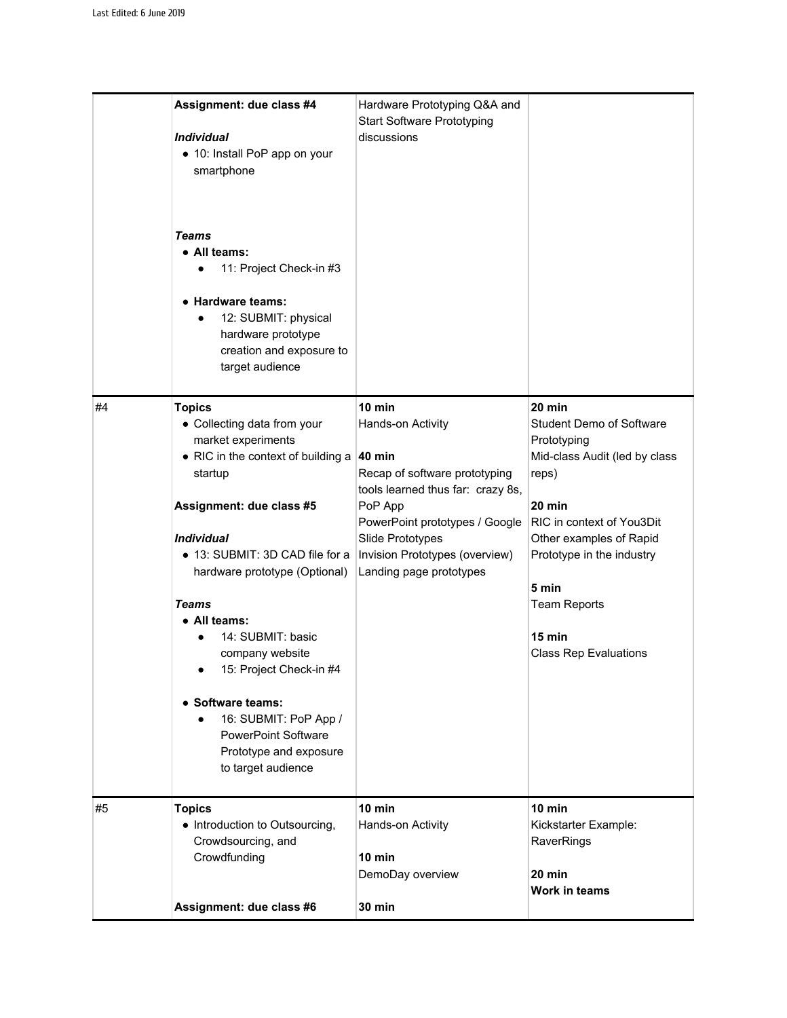|    | Assignment: due class #4<br><i><b>Individual</b></i><br>• 10: Install PoP app on your<br>smartphone<br><b>Teams</b><br>• All teams:<br>11: Project Check-in #3<br>$\bullet$<br>• Hardware teams:<br>12: SUBMIT: physical<br>$\bullet$<br>hardware prototype<br>creation and exposure to<br>target audience                                                                                                                                                                                  | Hardware Prototyping Q&A and<br><b>Start Software Prototyping</b><br>discussions                                                                                                                                                            |                                                                                                                                                                                                                                                                               |
|----|---------------------------------------------------------------------------------------------------------------------------------------------------------------------------------------------------------------------------------------------------------------------------------------------------------------------------------------------------------------------------------------------------------------------------------------------------------------------------------------------|---------------------------------------------------------------------------------------------------------------------------------------------------------------------------------------------------------------------------------------------|-------------------------------------------------------------------------------------------------------------------------------------------------------------------------------------------------------------------------------------------------------------------------------|
| #4 | <b>Topics</b><br>• Collecting data from your<br>market experiments<br>• RIC in the context of building a<br>startup<br>Assignment: due class #5<br><i><b>Individual</b></i><br>• 13: SUBMIT: 3D CAD file for a<br>hardware prototype (Optional)<br><b>Teams</b><br>• All teams:<br>14: SUBMIT: basic<br>company website<br>15: Project Check-in #4<br>• Software teams:<br>16: SUBMIT: PoP App /<br>$\bullet$<br><b>PowerPoint Software</b><br>Prototype and exposure<br>to target audience | $10$ min<br>Hands-on Activity<br>40 min<br>Recap of software prototyping<br>tools learned thus far: crazy 8s,<br>PoP App<br>PowerPoint prototypes / Google<br>Slide Prototypes<br>Invision Prototypes (overview)<br>Landing page prototypes | $20$ min<br><b>Student Demo of Software</b><br>Prototyping<br>Mid-class Audit (led by class<br>reps)<br>20 min<br>RIC in context of You3Dit<br>Other examples of Rapid<br>Prototype in the industry<br>5 min<br><b>Team Reports</b><br>15 min<br><b>Class Rep Evaluations</b> |
| #5 | <b>Topics</b><br>• Introduction to Outsourcing,<br>Crowdsourcing, and<br>Crowdfunding<br>Assignment: due class #6                                                                                                                                                                                                                                                                                                                                                                           | 10 min<br>Hands-on Activity<br>$10$ min<br>DemoDay overview<br><b>30 min</b>                                                                                                                                                                | $10$ min<br>Kickstarter Example:<br>RaverRings<br>$20 \text{ min}$<br>Work in teams                                                                                                                                                                                           |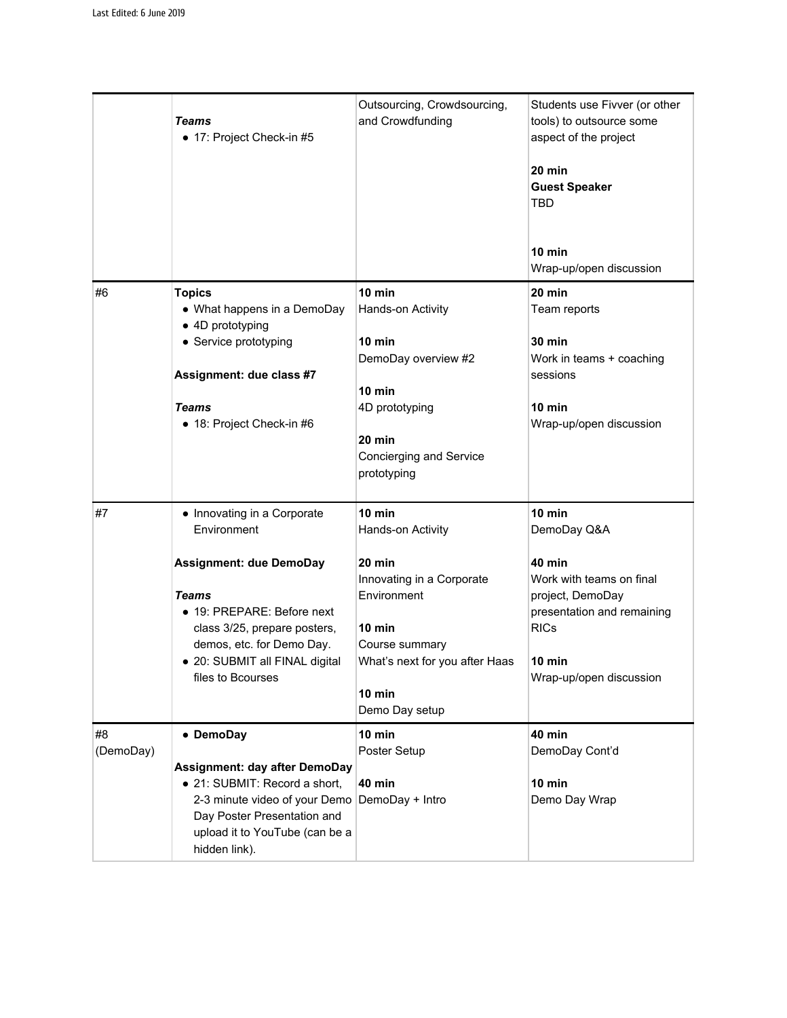|                 | <b>Teams</b><br>• 17: Project Check-in #5                                                                                                                                                                                                      | Outsourcing, Crowdsourcing,<br>and Crowdfunding                                                                                                                                         | Students use Fivver (or other<br>tools) to outsource some<br>aspect of the project<br>$20 \text{ min}$<br><b>Guest Speaker</b><br><b>TBD</b><br>$10 \text{ min}$<br>Wrap-up/open discussion |
|-----------------|------------------------------------------------------------------------------------------------------------------------------------------------------------------------------------------------------------------------------------------------|-----------------------------------------------------------------------------------------------------------------------------------------------------------------------------------------|---------------------------------------------------------------------------------------------------------------------------------------------------------------------------------------------|
| #6              | <b>Topics</b><br>• What happens in a DemoDay<br>• 4D prototyping<br>• Service prototyping<br>Assignment: due class #7<br><b>Teams</b><br>• 18: Project Check-in #6                                                                             | 10 min<br>Hands-on Activity<br>$10$ min<br>DemoDay overview #2<br>10 min<br>4D prototyping<br>$20 \text{ min}$<br>Concierging and Service<br>prototyping                                | $20 \text{ min}$<br>Team reports<br><b>30 min</b><br>Work in teams + coaching<br>sessions<br>10 min<br>Wrap-up/open discussion                                                              |
| #7              | • Innovating in a Corporate<br>Environment<br><b>Assignment: due DemoDay</b><br><b>Teams</b><br>• 19: PREPARE: Before next<br>class 3/25, prepare posters,<br>demos, etc. for Demo Day.<br>· 20: SUBMIT all FINAL digital<br>files to Bcourses | $10$ min<br>Hands-on Activity<br>20 min<br>Innovating in a Corporate<br>Environment<br>$10 \text{ min}$<br>Course summary<br>What's next for you after Haas<br>10 min<br>Demo Day setup | 10 min<br>DemoDay Q&A<br>40 min<br>Work with teams on final<br>project, DemoDay<br>presentation and remaining<br><b>RICs</b><br>10 min<br>Wrap-up/open discussion                           |
| #8<br>(DemoDay) | • DemoDay<br><b>Assignment: day after DemoDay</b><br>• 21: SUBMIT: Record a short,<br>2-3 minute video of your Demo<br>Day Poster Presentation and<br>upload it to YouTube (can be a<br>hidden link).                                          | 10 min<br>Poster Setup<br><b>40 min</b><br>DemoDay + Intro                                                                                                                              | <b>40 min</b><br>DemoDay Cont'd<br>10 min<br>Demo Day Wrap                                                                                                                                  |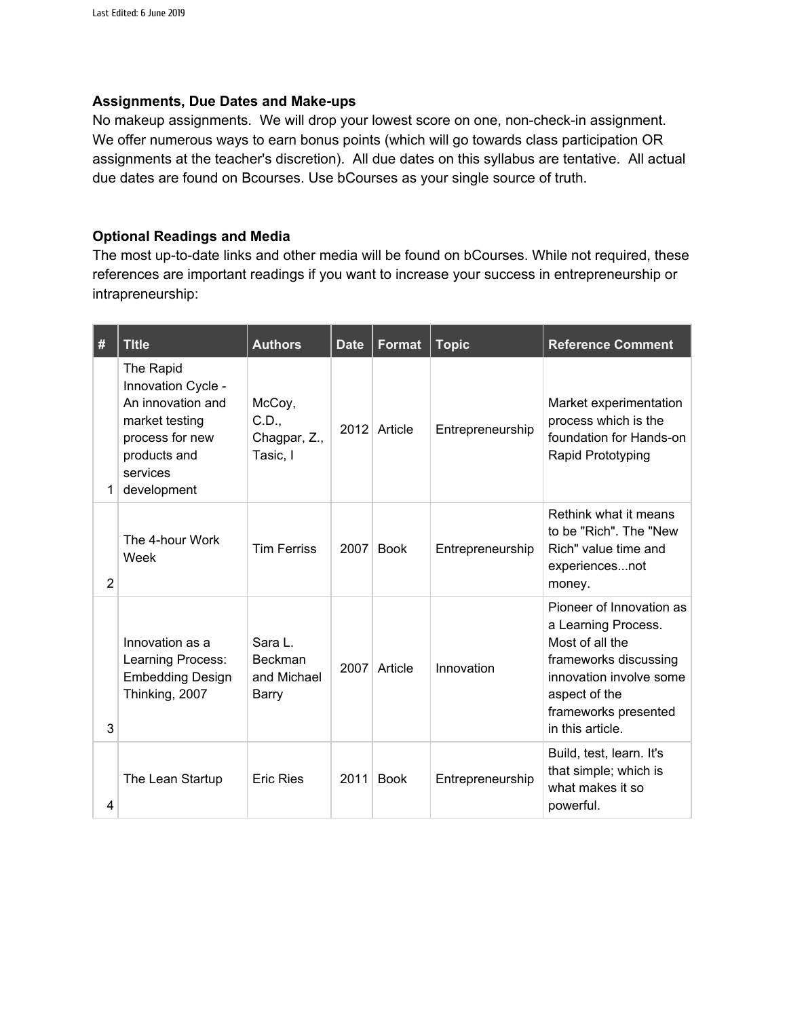# **Assignments, Due Dates and Make-ups**

No makeup assignments. We will drop your lowest score on one, non-check-in assignment. We offer numerous ways to earn bonus points (which will go towards class participation OR assignments at the teacher's discretion). All due dates on this syllabus are tentative. All actual due dates are found on Bcourses. Use bCourses as your single source of truth.

# **Optional Readings and Media**

The most up-to-date links and other media will be found on bCourses. While not required, these references are important readings if you want to increase your success in entrepreneurship or intrapreneurship:

| #              | <b>Title</b>                                                                                                                         | <b>Authors</b>                                    | <b>Date</b> | <b>Format</b> | <b>Topic</b>     | <b>Reference Comment</b>                                                                                                                                                            |
|----------------|--------------------------------------------------------------------------------------------------------------------------------------|---------------------------------------------------|-------------|---------------|------------------|-------------------------------------------------------------------------------------------------------------------------------------------------------------------------------------|
| 1.             | The Rapid<br>Innovation Cycle -<br>An innovation and<br>market testing<br>process for new<br>products and<br>services<br>development | McCoy,<br>C.D.,<br>Chagpar, Z.,<br>Tasic, I       |             | 2012 Article  | Entrepreneurship | Market experimentation<br>process which is the<br>foundation for Hands-on<br>Rapid Prototyping                                                                                      |
| $\overline{2}$ | The 4-hour Work<br>Week                                                                                                              | <b>Tim Ferriss</b>                                | 2007        | <b>Book</b>   | Entrepreneurship | Rethink what it means<br>to be "Rich". The "New<br>Rich" value time and<br>experiencesnot<br>money.                                                                                 |
| 3              | Innovation as a<br>Learning Process:<br><b>Embedding Design</b><br>Thinking, 2007                                                    | Sara L.<br><b>Beckman</b><br>and Michael<br>Barry | 2007        | Article       | Innovation       | Pioneer of Innovation as<br>a Learning Process.<br>Most of all the<br>frameworks discussing<br>innovation involve some<br>aspect of the<br>frameworks presented<br>in this article. |
| 4              | The Lean Startup                                                                                                                     | <b>Eric Ries</b>                                  | 2011        | <b>Book</b>   | Entrepreneurship | Build, test, learn. It's<br>that simple; which is<br>what makes it so<br>powerful.                                                                                                  |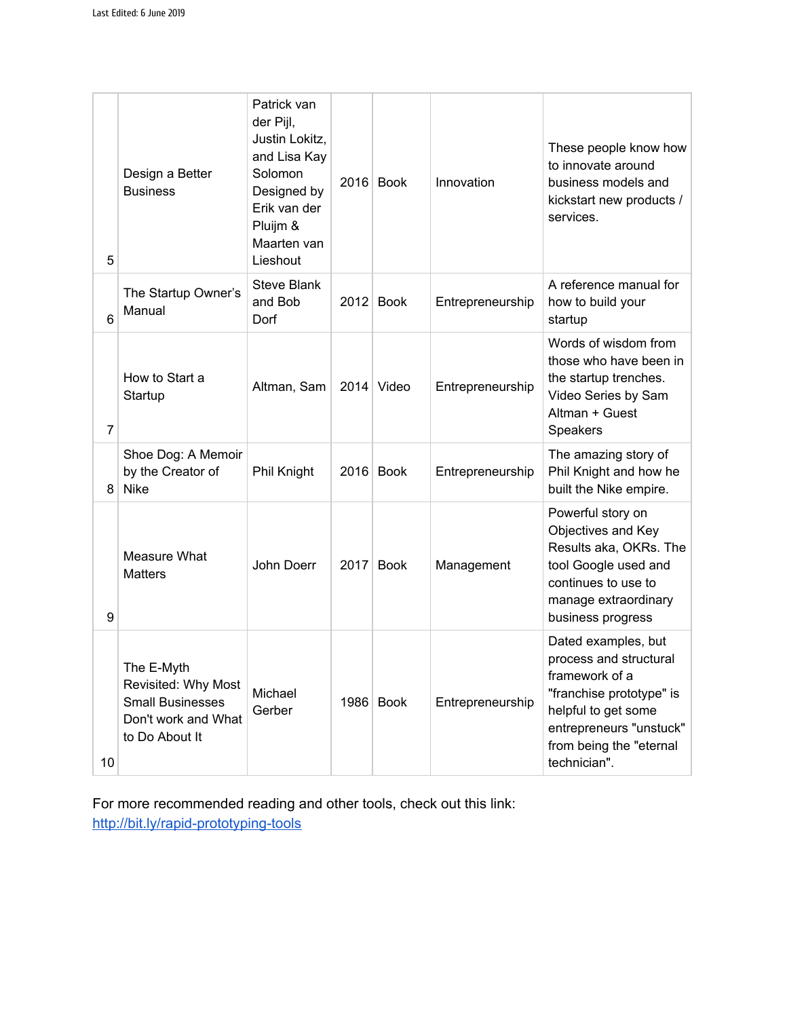| 5               | Design a Better<br><b>Business</b>                                                                    | Patrick van<br>der Pijl,<br>Justin Lokitz,<br>and Lisa Kay<br>Solomon<br>Designed by<br>Erik van der<br>Pluijm &<br>Maarten van<br>Lieshout |      | $2016$ Book | Innovation       | These people know how<br>to innovate around<br>business models and<br>kickstart new products /<br>services.                                                                              |
|-----------------|-------------------------------------------------------------------------------------------------------|---------------------------------------------------------------------------------------------------------------------------------------------|------|-------------|------------------|------------------------------------------------------------------------------------------------------------------------------------------------------------------------------------------|
| 6               | The Startup Owner's<br>Manual                                                                         | <b>Steve Blank</b><br>and Bob<br>Dorf                                                                                                       | 2012 | <b>Book</b> | Entrepreneurship | A reference manual for<br>how to build your<br>startup                                                                                                                                   |
| $\overline{7}$  | How to Start a<br>Startup                                                                             | Altman, Sam                                                                                                                                 | 2014 | Video       | Entrepreneurship | Words of wisdom from<br>those who have been in<br>the startup trenches.<br>Video Series by Sam<br>Altman + Guest<br>Speakers                                                             |
| 8               | Shoe Dog: A Memoir<br>by the Creator of<br><b>Nike</b>                                                | Phil Knight                                                                                                                                 | 2016 | <b>Book</b> | Entrepreneurship | The amazing story of<br>Phil Knight and how he<br>built the Nike empire.                                                                                                                 |
| 9               | Measure What<br><b>Matters</b>                                                                        | John Doerr                                                                                                                                  | 2017 | <b>Book</b> | Management       | Powerful story on<br>Objectives and Key<br>Results aka, OKRs. The<br>tool Google used and<br>continues to use to<br>manage extraordinary<br>business progress                            |
| 10 <sup>°</sup> | The E-Myth<br>Revisited: Why Most<br><b>Small Businesses</b><br>Don't work and What<br>to Do About It | Michael<br>Gerber                                                                                                                           |      | 1986 Book   | Entrepreneurship | Dated examples, but<br>process and structural<br>framework of a<br>"franchise prototype" is<br>helpful to get some<br>entrepreneurs "unstuck"<br>from being the "eternal<br>technician". |

For more recommended reading and other tools, check out this link: <http://bit.ly/rapid-prototyping-tools>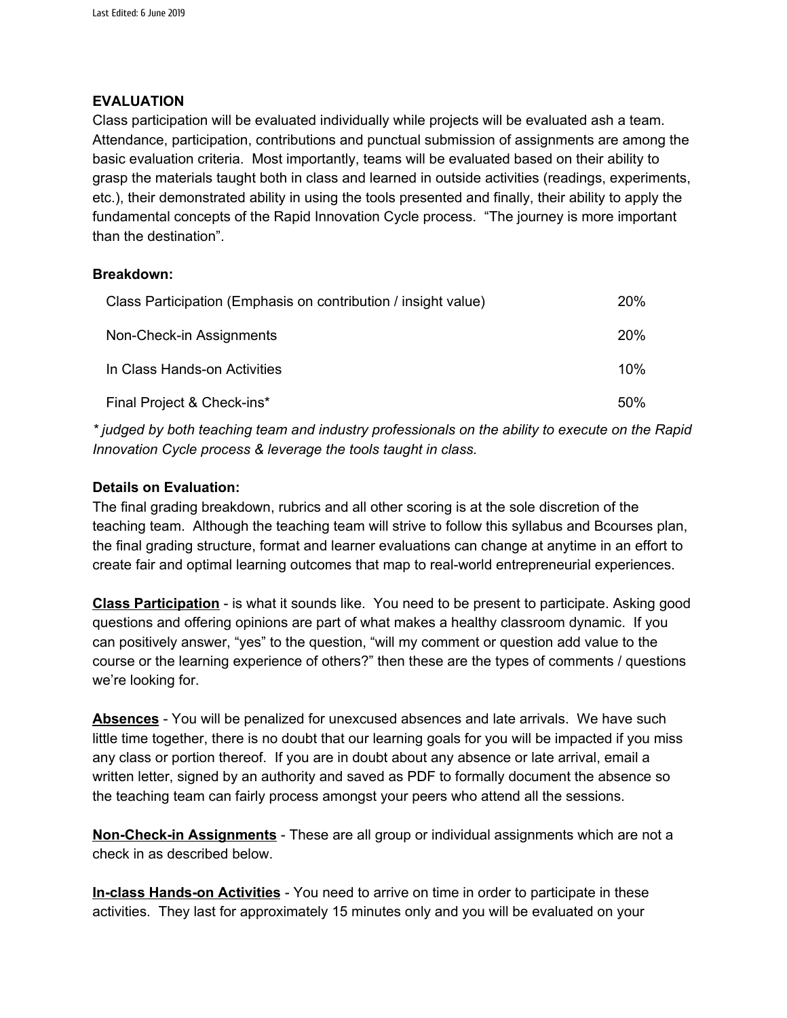### **EVALUATION**

Class participation will be evaluated individually while projects will be evaluated ash a team. Attendance, participation, contributions and punctual submission of assignments are among the basic evaluation criteria. Most importantly, teams will be evaluated based on their ability to grasp the materials taught both in class and learned in outside activities (readings, experiments, etc.), their demonstrated ability in using the tools presented and finally, their ability to apply the fundamental concepts of the Rapid Innovation Cycle process. "The journey is more important than the destination".

## **Breakdown:**

| Class Participation (Emphasis on contribution / insight value) | 20% |
|----------------------------------------------------------------|-----|
| Non-Check-in Assignments                                       | 20% |
| In Class Hands-on Activities                                   | 10% |
| Final Project & Check-ins*                                     | 50% |

*\* judged by both teaching team and industry professionals on the ability to execute on the Rapid Innovation Cycle process & leverage the tools taught in class.*

## **Details on Evaluation:**

The final grading breakdown, rubrics and all other scoring is at the sole discretion of the teaching team. Although the teaching team will strive to follow this syllabus and Bcourses plan, the final grading structure, format and learner evaluations can change at anytime in an effort to create fair and optimal learning outcomes that map to real-world entrepreneurial experiences.

**Class Participation** - is what it sounds like. You need to be present to participate. Asking good questions and offering opinions are part of what makes a healthy classroom dynamic. If you can positively answer, "yes" to the question, "will my comment or question add value to the course or the learning experience of others?" then these are the types of comments / questions we're looking for.

**Absences** - You will be penalized for unexcused absences and late arrivals. We have such little time together, there is no doubt that our learning goals for you will be impacted if you miss any class or portion thereof. If you are in doubt about any absence or late arrival, email a written letter, signed by an authority and saved as PDF to formally document the absence so the teaching team can fairly process amongst your peers who attend all the sessions.

**Non-Check-in Assignments** - These are all group or individual assignments which are not a check in as described below.

**In-class Hands-on Activities** - You need to arrive on time in order to participate in these activities. They last for approximately 15 minutes only and you will be evaluated on your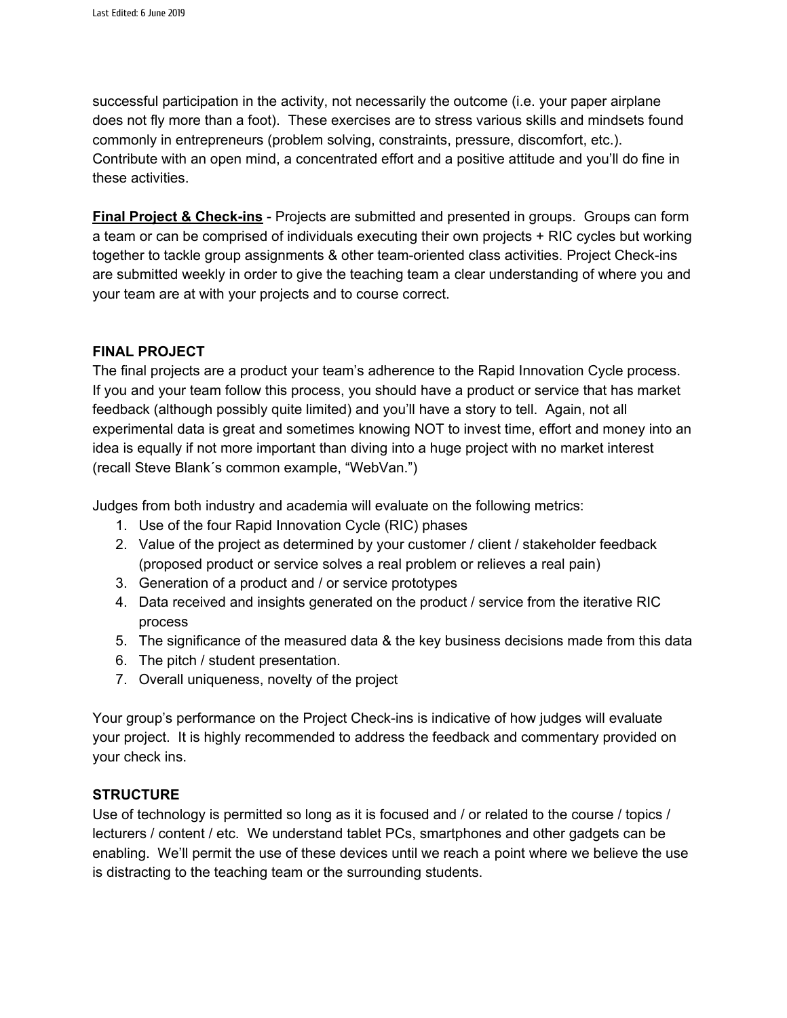successful participation in the activity, not necessarily the outcome (i.e. your paper airplane does not fly more than a foot). These exercises are to stress various skills and mindsets found commonly in entrepreneurs (problem solving, constraints, pressure, discomfort, etc.). Contribute with an open mind, a concentrated effort and a positive attitude and you'll do fine in these activities.

**Final Project & Check-ins** - Projects are submitted and presented in groups. Groups can form a team or can be comprised of individuals executing their own projects + RIC cycles but working together to tackle group assignments & other team-oriented class activities. Project Check-ins are submitted weekly in order to give the teaching team a clear understanding of where you and your team are at with your projects and to course correct.

## **FINAL PROJECT**

The final projects are a product your team's adherence to the Rapid Innovation Cycle process. If you and your team follow this process, you should have a product or service that has market feedback (although possibly quite limited) and you'll have a story to tell. Again, not all experimental data is great and sometimes knowing NOT to invest time, effort and money into an idea is equally if not more important than diving into a huge project with no market interest (recall Steve Blank´s common example, "WebVan.")

Judges from both industry and academia will evaluate on the following metrics:

- 1. Use of the four Rapid Innovation Cycle (RIC) phases
- 2. Value of the project as determined by your customer / client / stakeholder feedback (proposed product or service solves a real problem or relieves a real pain)
- 3. Generation of a product and / or service prototypes
- 4. Data received and insights generated on the product / service from the iterative RIC process
- 5. The significance of the measured data & the key business decisions made from this data
- 6. The pitch / student presentation.
- 7. Overall uniqueness, novelty of the project

Your group's performance on the Project Check-ins is indicative of how judges will evaluate your project. It is highly recommended to address the feedback and commentary provided on your check ins.

# **STRUCTURE**

Use of technology is permitted so long as it is focused and / or related to the course / topics / lecturers / content / etc. We understand tablet PCs, smartphones and other gadgets can be enabling. We'll permit the use of these devices until we reach a point where we believe the use is distracting to the teaching team or the surrounding students.